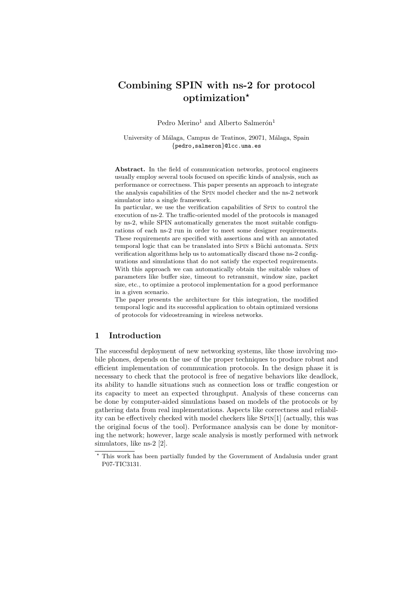# **Combining SPIN with ns-2 for protocol optimization***?*

Pedro Merino<sup>1</sup> and Alberto Salmerón<sup>1</sup>

University of Málaga, Campus de Teatinos, 29071, Málaga, Spain *{*pedro,salmeron*}*@lcc.uma.es

**Abstract.** In the field of communication networks, protocol engineers usually employ several tools focused on specific kinds of analysis, such as performance or correctness. This paper presents an approach to integrate the analysis capabilities of the Spin model checker and the ns-2 network simulator into a single framework.

In particular, we use the verification capabilities of SPIN to control the execution of ns-2. The traffic-oriented model of the protocols is managed by ns-2, while SPIN automatically generates the most suitable configurations of each ns-2 run in order to meet some designer requirements. These requirements are specified with assertions and with an annotated temporal logic that can be translated into SPIN s Büchi automata. SPIN verification algorithms help us to automatically discard those ns-2 configurations and simulations that do not satisfy the expected requirements. With this approach we can automatically obtain the suitable values of parameters like buffer size, timeout to retransmit, window size, packet size, etc., to optimize a protocol implementation for a good performance in a given scenario.

The paper presents the architecture for this integration, the modified temporal logic and its successful application to obtain optimized versions of protocols for videostreaming in wireless networks.

# **1 Introduction**

The successful deployment of new networking systems, like those involving mobile phones, depends on the use of the proper techniques to produce robust and efficient implementation of communication protocols. In the design phase it is necessary to check that the protocol is free of negative behaviors like deadlock, its ability to handle situations such as connection loss or traffic congestion or its capacity to meet an expected throughput. Analysis of these concerns can be done by computer-aided simulations based on models of the protocols or by gathering data from real implementations. Aspects like correctness and reliability can be effectively checked with model checkers like Spin[1] (actually, this was the original focus of the tool). Performance analysis can be done by monitoring the network; however, large scale analysis is mostly performed with network simulators, like ns-2 [2].

*<sup>?</sup>* This work has been partially funded by the Government of Andalusia under grant P07-TIC3131.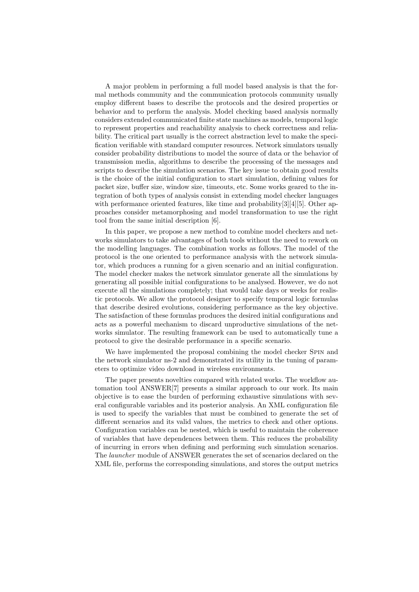A major problem in performing a full model based analysis is that the formal methods community and the communication protocols community usually employ different bases to describe the protocols and the desired properties or behavior and to perform the analysis. Model checking based analysis normally considers extended communicated finite state machines as models, temporal logic to represent properties and reachability analysis to check correctness and reliability. The critical part usually is the correct abstraction level to make the specification verifiable with standard computer resources. Network simulators usually consider probability distributions to model the source of data or the behavior of transmission media, algorithms to describe the processing of the messages and scripts to describe the simulation scenarios. The key issue to obtain good results is the choice of the initial configuration to start simulation, defining values for packet size, buffer size, window size, timeouts, etc. Some works geared to the integration of both types of analysis consist in extending model checker languages with performance oriented features, like time and probability[3][4][5]. Other approaches consider metamorphosing and model transformation to use the right tool from the same initial description [6].

In this paper, we propose a new method to combine model checkers and networks simulators to take advantages of both tools without the need to rework on the modelling languages. The combination works as follows. The model of the protocol is the one oriented to performance analysis with the network simulator, which produces a running for a given scenario and an initial configuration. The model checker makes the network simulator generate all the simulations by generating all possible initial configurations to be analysed. However, we do not execute all the simulations completely; that would take days or weeks for realistic protocols. We allow the protocol designer to specify temporal logic formulas that describe desired evolutions, considering performance as the key objective. The satisfaction of these formulas produces the desired initial configurations and acts as a powerful mechanism to discard unproductive simulations of the networks simulator. The resulting framework can be used to automatically tune a protocol to give the desirable performance in a specific scenario.

We have implemented the proposal combining the model checker Spin and the network simulator ns-2 and demonstrated its utility in the tuning of parameters to optimize video download in wireless environments.

The paper presents novelties compared with related works. The workflow automation tool ANSWER[7] presents a similar approach to our work. Its main objective is to ease the burden of performing exhaustive simulations with several configurable variables and its posterior analysis. An XML configuration file is used to specify the variables that must be combined to generate the set of different scenarios and its valid values, the metrics to check and other options. Configuration variables can be nested, which is useful to maintain the coherence of variables that have dependences between them. This reduces the probability of incurring in errors when defining and performing such simulation scenarios. The *launcher* module of ANSWER generates the set of scenarios declared on the XML file, performs the corresponding simulations, and stores the output metrics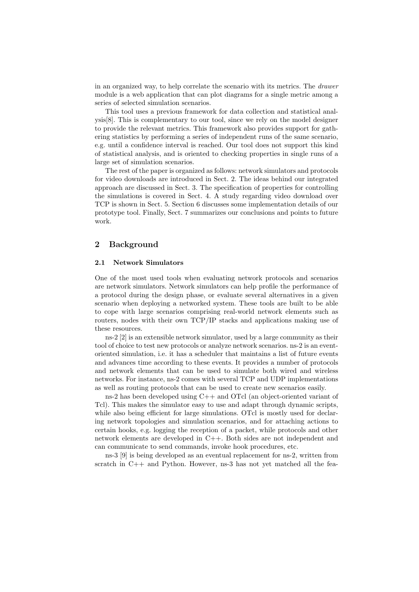in an organized way, to help correlate the scenario with its metrics. The *drawer* module is a web application that can plot diagrams for a single metric among a series of selected simulation scenarios.

This tool uses a previous framework for data collection and statistical analysis[8]. This is complementary to our tool, since we rely on the model designer to provide the relevant metrics. This framework also provides support for gathering statistics by performing a series of independent runs of the same scenario, e.g. until a confidence interval is reached. Our tool does not support this kind of statistical analysis, and is oriented to checking properties in single runs of a large set of simulation scenarios.

The rest of the paper is organized as follows: network simulators and protocols for video downloads are introduced in Sect. 2. The ideas behind our integrated approach are discussed in Sect. 3. The specification of properties for controlling the simulations is covered in Sect. 4. A study regarding video download over TCP is shown in Sect. 5. Section 6 discusses some implementation details of our prototype tool. Finally, Sect. 7 summarizes our conclusions and points to future work.

# **2 Background**

#### **2.1 Network Simulators**

One of the most used tools when evaluating network protocols and scenarios are network simulators. Network simulators can help profile the performance of a protocol during the design phase, or evaluate several alternatives in a given scenario when deploying a networked system. These tools are built to be able to cope with large scenarios comprising real-world network elements such as routers, nodes with their own TCP/IP stacks and applications making use of these resources.

ns-2 [2] is an extensible network simulator, used by a large community as their tool of choice to test new protocols or analyze network scenarios. ns-2 is an eventoriented simulation, i.e. it has a scheduler that maintains a list of future events and advances time according to these events. It provides a number of protocols and network elements that can be used to simulate both wired and wireless networks. For instance, ns-2 comes with several TCP and UDP implementations as well as routing protocols that can be used to create new scenarios easily.

ns-2 has been developed using C++ and OTcl (an object-oriented variant of Tcl). This makes the simulator easy to use and adapt through dynamic scripts, while also being efficient for large simulations. OTcl is mostly used for declaring network topologies and simulation scenarios, and for attaching actions to certain hooks, e.g. logging the reception of a packet, while protocols and other network elements are developed in C++. Both sides are not independent and can communicate to send commands, invoke hook procedures, etc.

ns-3 [9] is being developed as an eventual replacement for ns-2, written from scratch in  $C++$  and Python. However, ns-3 has not yet matched all the fea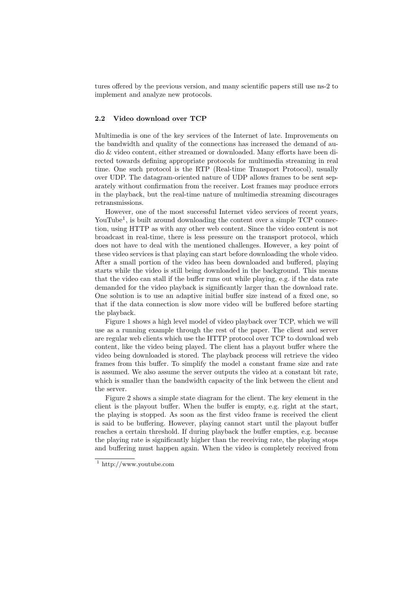tures offered by the previous version, and many scientific papers still use ns-2 to implement and analyze new protocols.

# **2.2 Video download over TCP**

Multimedia is one of the key services of the Internet of late. Improvements on the bandwidth and quality of the connections has increased the demand of audio & video content, either streamed or downloaded. Many efforts have been directed towards defining appropriate protocols for multimedia streaming in real time. One such protocol is the RTP (Real-time Transport Protocol), usually over UDP. The datagram-oriented nature of UDP allows frames to be sent separately without confirmation from the receiver. Lost frames may produce errors in the playback, but the real-time nature of multimedia streaming discourages retransmissions.

However, one of the most successful Internet video services of recent years, YouTube<sup>1</sup>, is built around downloading the content over a simple TCP connection, using HTTP as with any other web content. Since the video content is not broadcast in real-time, there is less pressure on the transport protocol, which does not have to deal with the mentioned challenges. However, a key point of these video services is that playing can start before downloading the whole video. After a small portion of the video has been downloaded and buffered, playing starts while the video is still being downloaded in the background. This means that the video can stall if the buffer runs out while playing, e.g. if the data rate demanded for the video playback is significantly larger than the download rate. One solution is to use an adaptive initial buffer size instead of a fixed one, so that if the data connection is slow more video will be buffered before starting the playback.

Figure 1 shows a high level model of video playback over TCP, which we will use as a running example through the rest of the paper. The client and server are regular web clients which use the HTTP protocol over TCP to download web content, like the video being played. The client has a playout buffer where the video being downloaded is stored. The playback process will retrieve the video frames from this buffer. To simplify the model a constant frame size and rate is assumed. We also assume the server outputs the video at a constant bit rate, which is smaller than the bandwidth capacity of the link between the client and the server.

Figure 2 shows a simple state diagram for the client. The key element in the client is the playout buffer. When the buffer is empty, e.g. right at the start, the playing is stopped. As soon as the first video frame is received the client is said to be buffering. However, playing cannot start until the playout buffer reaches a certain threshold. If during playback the buffer empties, e.g. because the playing rate is significantly higher than the receiving rate, the playing stops and buffering must happen again. When the video is completely received from

 $1$  http://www.youtube.com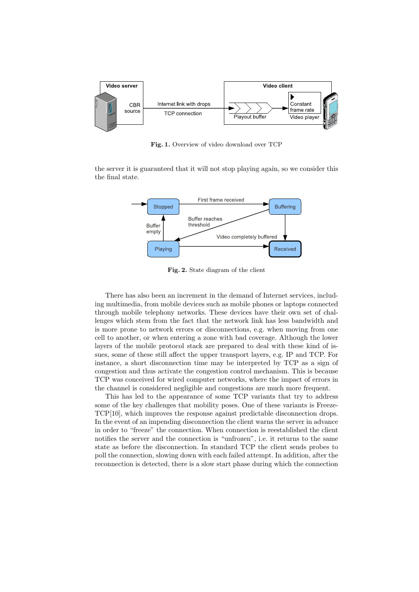

**Fig. 1.** Overview of video download over TCP

the server it is guaranteed that it will not stop playing again, so we consider this the final state.



**Fig. 2.** State diagram of the client

There has also been an increment in the demand of Internet services, including multimedia, from mobile devices such as mobile phones or laptops connected through mobile telephony networks. These devices have their own set of challenges which stem from the fact that the network link has less bandwidth and is more prone to network errors or disconnections, e.g. when moving from one cell to another, or when entering a zone with bad coverage. Although the lower layers of the mobile protocol stack are prepared to deal with these kind of issues, some of these still affect the upper transport layers, e.g. IP and TCP. For instance, a short disconnection time may be interpreted by TCP as a sign of congestion and thus activate the congestion control mechanism. This is because TCP was conceived for wired computer networks, where the impact of errors in the channel is considered negligible and congestions are much more frequent.

This has led to the appearance of some TCP variants that try to address some of the key challenges that mobility poses. One of these variants is Freeze-TCP[10], which improves the response against predictable disconnection drops. In the event of an impending disconnection the client warns the server in advance in order to "freeze" the connection. When connection is reestablished the client notifies the server and the connection is "unfrozen", i.e. it returns to the same state as before the disconnection. In standard TCP the client sends probes to poll the connection, slowing down with each failed attempt. In addition, after the reconnection is detected, there is a slow start phase during which the connection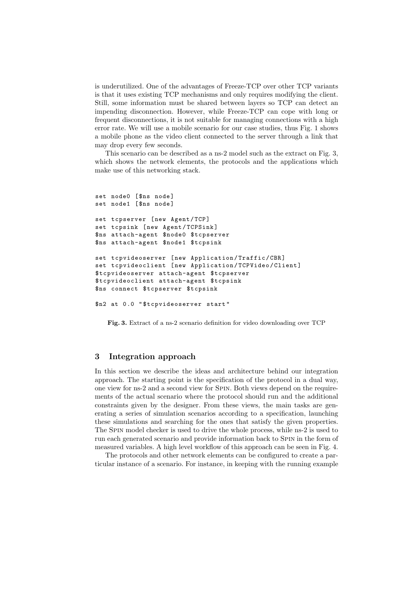is underutilized. One of the advantages of Freeze-TCP over other TCP variants is that it uses existing TCP mechanisms and only requires modifying the client. Still, some information must be shared between layers so TCP can detect an impending disconnection. However, while Freeze-TCP can cope with long or frequent disconnections, it is not suitable for managing connections with a high error rate. We will use a mobile scenario for our case studies, thus Fig. 1 shows a mobile phone as the video client connected to the server through a link that may drop every few seconds.

This scenario can be described as a ns-2 model such as the extract on Fig. 3, which shows the network elements, the protocols and the applications which make use of this networking stack.

```
set node0 [$ns node]
set node1 [$ns node]
set tcpserver [new Agent/TCP]
set tcpsink [new Agent/TCPSink]
$ns attach-agent $node0 $tcpserver
$ns attach-agent $node1 $tcpsink
set tcpvideoserver [new Application/Traffic/CBR]
set tcpvideoclient [ new Application / TCPVideo / Client ]
$tcpvideoserver attach-agent $tcpserver
$tcpvideoclient attach-agent $tcpsink
$ns connect $tcpserver $tcpsink
$n2 at 0 .0 " $tcpvideoserver start "
```
**Fig. 3.** Extract of a ns-2 scenario definition for video downloading over TCP

# **3 Integration approach**

In this section we describe the ideas and architecture behind our integration approach. The starting point is the specification of the protocol in a dual way, one view for ns-2 and a second view for Spin. Both views depend on the requirements of the actual scenario where the protocol should run and the additional constraints given by the designer. From these views, the main tasks are generating a series of simulation scenarios according to a specification, launching these simulations and searching for the ones that satisfy the given properties. The SPIN model checker is used to drive the whole process, while ns-2 is used to run each generated scenario and provide information back to Spin in the form of measured variables. A high level workflow of this approach can be seen in Fig. 4.

The protocols and other network elements can be configured to create a particular instance of a scenario. For instance, in keeping with the running example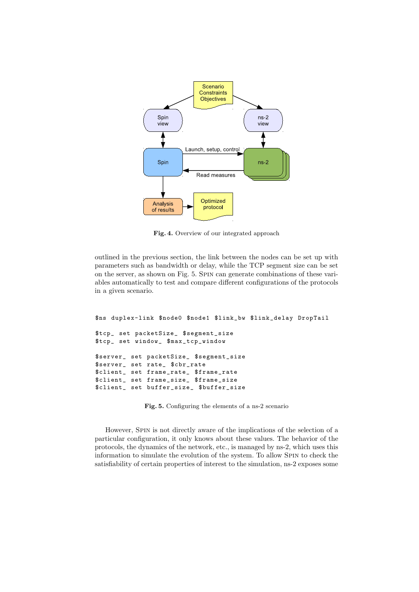

**Fig. 4.** Overview of our integrated approach

outlined in the previous section, the link between the nodes can be set up with parameters such as bandwidth or delay, while the TCP segment size can be set on the server, as shown on Fig. 5. Spin can generate combinations of these variables automatically to test and compare different configurations of the protocols in a given scenario.

```
$ns duplex-link $node0 $node1 $link_bw $link_delay DropTail
$tcp_ set packetSize_ $segment_size
$tcp_ set window_ $max_tcp_window
$server_ set packetSize_ $segment_size
$server_ set rate_ $cbr_rate
$client_ set frame_rate_ $frame_rate
$client_ set frame_size_ $frame_size
$client_ set buffer_size_ $buffer_size
```
**Fig. 5.** Configuring the elements of a ns-2 scenario

However, Spin is not directly aware of the implications of the selection of a particular configuration, it only knows about these values. The behavior of the protocols, the dynamics of the network, etc., is managed by ns-2, which uses this information to simulate the evolution of the system. To allow Spin to check the satisfiability of certain properties of interest to the simulation, ns-2 exposes some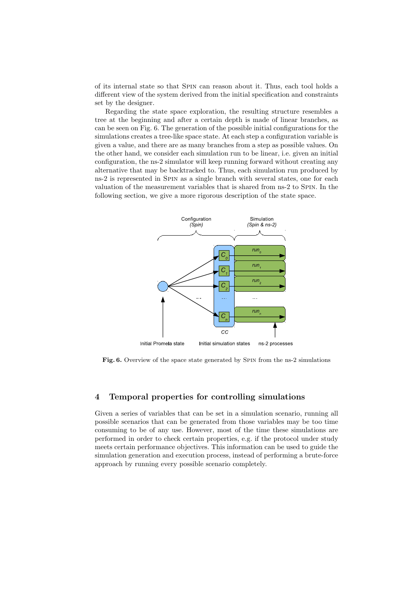of its internal state so that Spin can reason about it. Thus, each tool holds a different view of the system derived from the initial specification and constraints set by the designer.

Regarding the state space exploration, the resulting structure resembles a tree at the beginning and after a certain depth is made of linear branches, as can be seen on Fig. 6. The generation of the possible initial configurations for the simulations creates a tree-like space state. At each step a configuration variable is given a value, and there are as many branches from a step as possible values. On the other hand, we consider each simulation run to be linear, i.e. given an initial configuration, the ns-2 simulator will keep running forward without creating any alternative that may be backtracked to. Thus, each simulation run produced by ns-2 is represented in SPIN as a single branch with several states, one for each valuation of the measurement variables that is shared from ns-2 to Spin. In the following section, we give a more rigorous description of the state space.



Fig. 6. Overview of the space state generated by SPIN from the ns-2 simulations

# **4 Temporal properties for controlling simulations**

Given a series of variables that can be set in a simulation scenario, running all possible scenarios that can be generated from those variables may be too time consuming to be of any use. However, most of the time these simulations are performed in order to check certain properties, e.g. if the protocol under study meets certain performance objectives. This information can be used to guide the simulation generation and execution process, instead of performing a brute-force approach by running every possible scenario completely.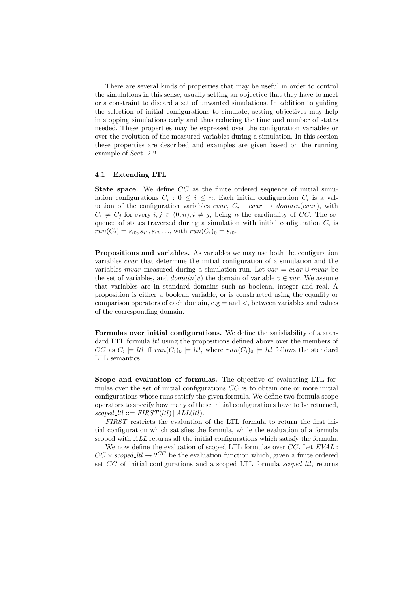There are several kinds of properties that may be useful in order to control the simulations in this sense, usually setting an objective that they have to meet or a constraint to discard a set of unwanted simulations. In addition to guiding the selection of initial configurations to simulate, setting objectives may help in stopping simulations early and thus reducing the time and number of states needed. These properties may be expressed over the configuration variables or over the evolution of the measured variables during a simulation. In this section these properties are described and examples are given based on the running example of Sect. 2.2.

#### **4.1 Extending LTL**

**State space.** We define *CC* as the finite ordered sequence of initial simulation configurations  $C_i$  :  $0 \leq i \leq n$ . Each initial configuration  $C_i$  is a valuation of the configuration variables *cvar*,  $C_i$ : *cvar*  $\rightarrow$  *domain*(*cvar*), with  $C_i \neq C_j$  for every  $i, j \in (0, n), i \neq j$ , being *n* the cardinality of *CC*. The sequence of states traversed during a simulation with initial configuration  $C_i$  is  $run(C_i) = s_{i0}, s_{i1}, s_{i2}, \ldots$ , with  $run(C_i)_{0} = s_{i0}$ .

**Propositions and variables.** As variables we may use both the configuration variables *cvar* that determine the initial configuration of a simulation and the variables *mvar* measured during a simulation run. Let *var* = *cvar ∪ mvar* be the set of variables, and  $domain(v)$  the domain of variable  $v \in var$ . We assume that variables are in standard domains such as boolean, integer and real. A proposition is either a boolean variable, or is constructed using the equality or comparison operators of each domain, e.g = and *<*, between variables and values of the corresponding domain.

**Formulas over initial configurations.** We define the satisfiability of a standard LTL formula *ltl* using the propositions defined above over the members of  $CC$  as  $C_i \models \text{ltl}$  iff  $run(C_i)_0 \models \text{ltl}$ , where  $run(C_i)_0 \models \text{ltl}$  follows the standard LTL semantics.

**Scope and evaluation of formulas.** The objective of evaluating LTL formulas over the set of initial configurations *CC* is to obtain one or more initial configurations whose runs satisfy the given formula. We define two formula scope operators to specify how many of these initial configurations have to be returned,  $scoped$ <sub>-</sub>*ltl* ::=  $FIRST(ltl) | ALL(ltl)$ .

*FIRST* restricts the evaluation of the LTL formula to return the first initial configuration which satisfies the formula, while the evaluation of a formula scoped with *ALL* returns all the initial configurations which satisfy the formula.

We now define the evaluation of scoped LTL formulas over *CC*. Let *EVAL* :  $CC \times \textit{scoped}$  *ltl*  $\rightarrow 2^{CC}$  be the evaluation function which, given a finite ordered set *CC* of initial configurations and a scoped LTL formula *scoped ltl*, returns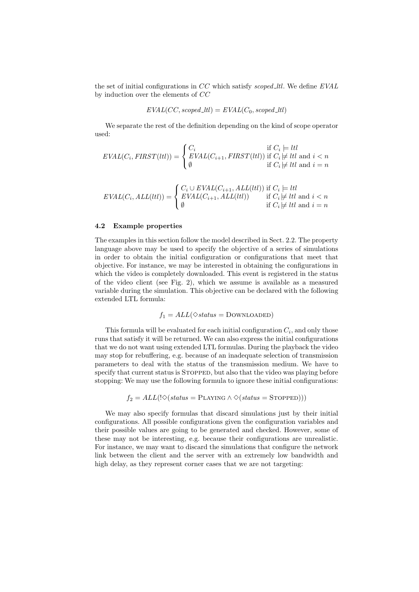the set of initial configurations in *CC* which satisfy *scoped ltl*. We define *EVAL* by induction over the elements of *CC*

$$
EVAL(CC, scored\_ltl) = EVAL(C_0, scored\_ltl)
$$

We separate the rest of the definition depending on the kind of scope operator used:

$$
EVAL(C_i, FIRST(ltl)) = \begin{cases} C_i & \text{if } C_i \models ltl \\ EVAL(C_{i+1}, FIRST(ltl)) & \text{if } C_i \not\models ltl \text{ and } i < n \\ \emptyset & \text{if } C_i \not\models ltl \text{ and } i = n \end{cases}
$$

$$
EVAL(C_i, ALL(ltl)) = \begin{cases} C_i \cup EVAL(C_{i+1}, ALL(ltl)) & \text{if } C_i \models ltl \\ EVAL(C_{i+1}, ALL(ltl)) & \text{if } C_i \neq ltl \text{ and } i < n \\ \emptyset & \text{if } C_i \neq ltl \text{ and } i = n \end{cases}
$$

#### **4.2 Example properties**

The examples in this section follow the model described in Sect. 2.2. The property language above may be used to specify the objective of a series of simulations in order to obtain the initial configuration or configurations that meet that objective. For instance, we may be interested in obtaining the configurations in which the video is completely downloaded. This event is registered in the status of the video client (see Fig. 2), which we assume is available as a measured variable during the simulation. This objective can be declared with the following extended LTL formula:

$$
f_1 = ALL(\diamond
$$
status = Downloadde)

This formula will be evaluated for each initial configuration  $C_i$ , and only those runs that satisfy it will be returned. We can also express the initial configurations that we do not want using extended LTL formulas. During the playback the video may stop for rebuffering, e.g. because of an inadequate selection of transmission parameters to deal with the status of the transmission medium. We have to specify that current status is STOPPED, but also that the video was playing before stopping: We may use the following formula to ignore these initial configurations:

$$
f_2 = ALL!(\lozenge(status = \text{PLANING} \land \lozenge(status = \text{STOPPED})))
$$

We may also specify formulas that discard simulations just by their initial configurations. All possible configurations given the configuration variables and their possible values are going to be generated and checked. However, some of these may not be interesting, e.g. because their configurations are unrealistic. For instance, we may want to discard the simulations that configure the network link between the client and the server with an extremely low bandwidth and high delay, as they represent corner cases that we are not targeting: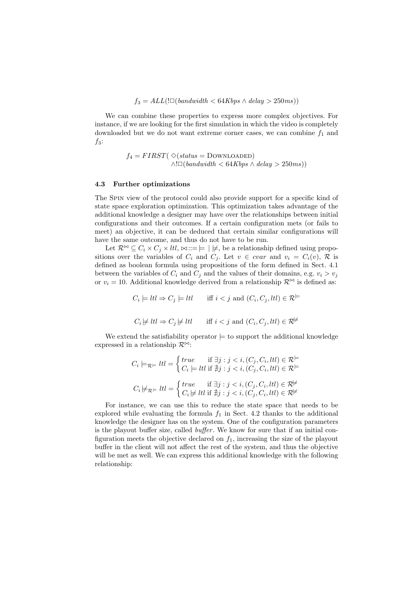$f_3 = ALL!(\Box(bandwidth < 64Kbps \land delay > 250ms))$ 

We can combine these properties to express more complex objectives. For instance, if we are looking for the first simulation in which the video is completely downloaded but we do not want extreme corner cases, we can combine  $f_1$  and *f*3:

$$
f_4 = FIRST(\diamond (status = DownLOADED) \land !\Box (bandwidth < 64Kbps \land delay > 250ms))
$$

#### **4.3 Further optimizations**

The Spin view of the protocol could also provide support for a specific kind of state space exploration optimization. This optimization takes advantage of the additional knowledge a designer may have over the relationships between initial configurations and their outcomes. If a certain configuration mets (or fails to meet) an objective, it can be deduced that certain similar configurations will have the same outcome, and thus do not have to be run.

Let  $\mathcal{R}^{\Join}$  ⊆  $C_i \times C_j \times \textit{ltl}, \Join ::=$   $\models$   $\mid \neq$ , be a relationship defined using propositions over the variables of  $C_i$  and  $C_j$ . Let  $v \in \text{cvar}$  and  $v_i = C_i(v)$ ,  $\mathcal{R}$  is defined as boolean formula using propositions of the form defined in Sect. 4.1 between the variables of  $C_i$  and  $C_j$  and the values of their domains, e.g.  $v_i > v_j$ or  $v_i = 10$ . Additional knowledge derived from a relationship  $\mathcal{R}^{\bowtie}$  is defined as:

$$
C_i \models \text{ltl} \Rightarrow C_j \models \text{ltl} \qquad \text{iff } i < j \text{ and } (C_i, C_j, \text{ltl}) \in \mathcal{R}^{\models}
$$

$$
C_i \not\models \text{ltl} \Rightarrow C_j \not\models \text{ltl} \qquad \text{iff } i < j \text{ and } (C_i, C_j, \text{ltl}) \in \mathcal{R}^{\not\models}
$$

We extend the satisfiability operator  $\models$  to support the additional knowledge expressed in a relationship  $\mathcal{R}^{\bowtie}$ :

*Ci |*=*R|*<sup>=</sup> *ltl* = *true* if *∃j* : *j < i,*(*C<sup>j</sup> , C<sup>i</sup> , ltl*) *∈ R<sup>|</sup>*<sup>=</sup> *Ci |*= *ltl* if @*j* : *j < i,*(*C<sup>j</sup> , C<sup>i</sup> , ltl*) *∈ R<sup>|</sup>*<sup>=</sup> *C<sup>i</sup>* =*6| <sup>R</sup>|*<sup>=</sup> *ltl* = *true* if *∃j* : *j < i,*(*C<sup>j</sup> , C<sup>i</sup> , ltl*) *∈ R*<sup>=</sup>*6| C<sup>i</sup>* =*6| ltl* if @*j* : *j < i,*(*C<sup>j</sup> , C<sup>i</sup> , ltl*) *∈ R*<sup>=</sup>*6|*

For instance, we can use this to reduce the state space that needs to be explored while evaluating the formula  $f_1$  in Sect. 4.2 thanks to the additional knowledge the designer has on the system. One of the configuration parameters is the playout buffer size, called *buffer* . We know for sure that if an initial configuration meets the objective declared on  $f_1$ , increasing the size of the playout buffer in the client will not affect the rest of the system, and thus the objective will be met as well. We can express this additional knowledge with the following relationship: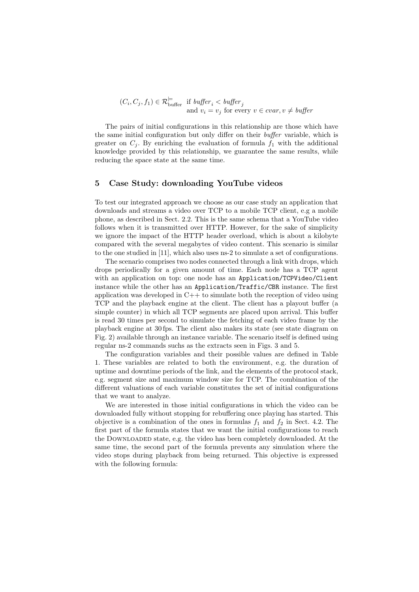$$
(C_i, C_j, f_1) \in \mathcal{R}_{\text{buffer}}^{\models} \text{ if } buffer_i < buffer_j \text{ and } v_i = v_j \text{ for every } v \in \text{cvar}, v \neq buffer
$$

The pairs of initial configurations in this relationship are those which have the same initial configuration but only differ on their *buffer* variable, which is greater on  $C_i$ . By enriching the evaluation of formula  $f_1$  with the additional knowledge provided by this relationship, we guarantee the same results, while reducing the space state at the same time.

# **5 Case Study: downloading YouTube videos**

To test our integrated approach we choose as our case study an application that downloads and streams a video over TCP to a mobile TCP client, e.g a mobile phone, as described in Sect. 2.2. This is the same schema that a YouTube video follows when it is transmitted over HTTP. However, for the sake of simplicity we ignore the impact of the HTTP header overload, which is about a kilobyte compared with the several megabytes of video content. This scenario is similar to the one studied in [11], which also uses ns-2 to simulate a set of configurations.

The scenario comprises two nodes connected through a link with drops, which drops periodically for a given amount of time. Each node has a TCP agent with an application on top: one node has an Application/TCPVideo/Client instance while the other has an Application/Traffic/CBR instance. The first application was developed in  $C++$  to simulate both the reception of video using TCP and the playback engine at the client. The client has a playout buffer (a simple counter) in which all TCP segments are placed upon arrival. This buffer is read 30 times per second to simulate the fetching of each video frame by the playback engine at 30 fps. The client also makes its state (see state diagram on Fig. 2) available through an instance variable. The scenario itself is defined using regular ns-2 commands suchs as the extracts seen in Figs. 3 and 5.

The configuration variables and their possible values are defined in Table 1. These variables are related to both the environment, e.g. the duration of uptime and downtime periods of the link, and the elements of the protocol stack, e.g. segment size and maximum window size for TCP. The combination of the different valuations of each variable constitutes the set of initial configurations that we want to analyze.

We are interested in those initial configurations in which the video can be downloaded fully without stopping for rebuffering once playing has started. This objective is a combination of the ones in formulas  $f_1$  and  $f_2$  in Sect. 4.2. The first part of the formula states that we want the initial configurations to reach the DOWNLOADED state, e.g. the video has been completely downloaded. At the same time, the second part of the formula prevents any simulation where the video stops during playback from being returned. This objective is expressed with the following formula: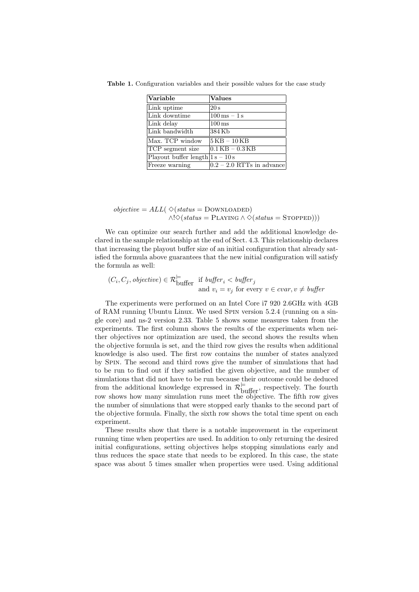**Table 1.** Configuration variables and their possible values for the case study

| Variable                         | <b>Values</b>                        |
|----------------------------------|--------------------------------------|
| Link uptime                      | 20 s                                 |
| Link downtime                    | $100 \,\mathrm{ms} - 1 \,\mathrm{s}$ |
| Link delay                       | $100 \,\mathrm{ms}$                  |
| Link bandwidth                   | 384 Kb                               |
| Max. TCP window                  | $5\,\mathrm{KB} - 10\,\mathrm{KB}$   |
| TCP segment size                 | $0.1$ KB $-$ 0.3 KB                  |
| Playout buffer length $1s - 10s$ |                                      |
| Freeze warning                   | $0.2 - 2.0$ RTTs in advance          |

 $objective = ALL({\Diamond} (status = DownLOADED))$ *<sup>∧</sup>*!*✸*(*status* <sup>=</sup> Playing *<sup>∧</sup> ✸*(*status* <sup>=</sup> Stopped)))

We can optimize our search further and add the additional knowledge declared in the sample relationship at the end of Sect. 4.3. This relationship declares that increasing the playout buffer size of an initial configuration that already satisfied the formula above guarantees that the new initial configuration will satisfy the formula as well:

$$
(C_i, C_j, objective) \in \mathcal{R}_{\text{buffer}}^{\models}
$$
 if  $buffer_i < buffer_j$   
and  $v_i = v_j$  for every  $v \in cvar, v \neq buffer$ 

The experiments were performed on an Intel Core i7 920 2.6GHz with 4GB of RAM running Ubuntu Linux. We used Spin version 5.2.4 (running on a single core) and ns-2 version 2.33. Table 5 shows some measures taken from the experiments. The first column shows the results of the experiments when neither objectives nor optimization are used, the second shows the results when the objective formula is set, and the third row gives the results when additional knowledge is also used. The first row contains the number of states analyzed by Spin. The second and third rows give the number of simulations that had to be run to find out if they satisfied the given objective, and the number of simulations that did not have to be run because their outcome could be deduced from the additional knowledge expressed in  $\mathcal{R}^{\models}_{\text{buffer}}$ , respectively. The fourth row shows how many simulation runs meet the objective. The fifth row gives the number of simulations that were stopped early thanks to the second part of the objective formula. Finally, the sixth row shows the total time spent on each experiment.

These results show that there is a notable improvement in the experiment running time when properties are used. In addition to only returning the desired initial configurations, setting objectives helps stopping simulations early and thus reduces the space state that needs to be explored. In this case, the state space was about 5 times smaller when properties were used. Using additional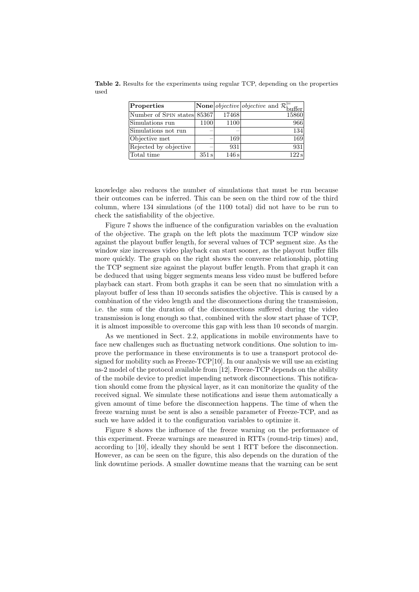**Table 2.** Results for the experiments using regular TCP, depending on the properties used

| Properties                  |       |       | <b>None</b> <i>objective objective</i> and $\mathcal{R}^{\text{F}}_{\text{buffer}}$ |
|-----------------------------|-------|-------|-------------------------------------------------------------------------------------|
| Number of SPIN states 85367 |       | 17468 | 15860                                                                               |
| Simulations run             | 1100  | 1100  | 966                                                                                 |
| Simulations not run         |       |       | 134                                                                                 |
| Objective met               |       | 169   | 169                                                                                 |
| Rejected by objective       |       | 931   | 931                                                                                 |
| Total time                  | 351 s | 146 s | 122s                                                                                |

knowledge also reduces the number of simulations that must be run because their outcomes can be inferred. This can be seen on the third row of the third column, where 134 simulations (of the 1100 total) did not have to be run to check the satisfiability of the objective.

Figure 7 shows the influence of the configuration variables on the evaluation of the objective. The graph on the left plots the maximum TCP window size against the playout buffer length, for several values of TCP segment size. As the window size increases video playback can start sooner, as the playout buffer fills more quickly. The graph on the right shows the converse relationship, plotting the TCP segment size against the playout buffer length. From that graph it can be deduced that using bigger segments means less video must be buffered before playback can start. From both graphs it can be seen that no simulation with a playout buffer of less than 10 seconds satisfies the objective. This is caused by a combination of the video length and the disconnections during the transmission, i.e. the sum of the duration of the disconnections suffered during the video transmission is long enough so that, combined with the slow start phase of TCP, it is almost impossible to overcome this gap with less than 10 seconds of margin.

As we mentioned in Sect. 2.2, applications in mobile environments have to face new challenges such as fluctuating network conditions. One solution to improve the performance in these environments is to use a transport protocol designed for mobility such as Freeze-TCP $[10]$ . In our analysis we will use an existing ns-2 model of the protocol available from [12]. Freeze-TCP depends on the ability of the mobile device to predict impending network disconnections. This notification should come from the physical layer, as it can monitorize the quality of the received signal. We simulate these notifications and issue them automatically a given amount of time before the disconnection happens. The time of when the freeze warning must be sent is also a sensible parameter of Freeze-TCP, and as such we have added it to the configuration variables to optimize it.

Figure 8 shows the influence of the freeze warning on the performance of this experiment. Freeze warnings are measured in RTTs (round-trip times) and, according to [10], ideally they should be sent 1 RTT before the disconnection. However, as can be seen on the figure, this also depends on the duration of the link downtime periods. A smaller downtime means that the warning can be sent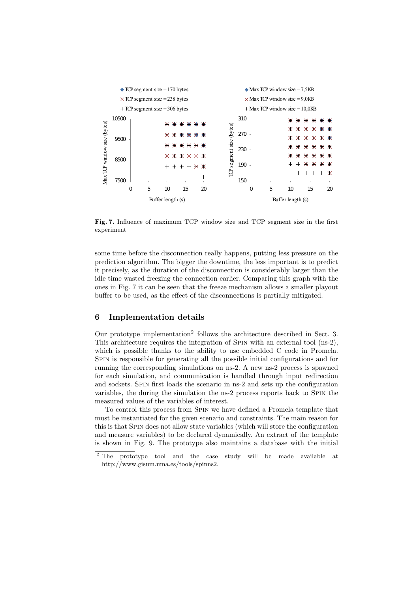

**Fig. 7.** Influence of maximum TCP window size and TCP segment size in the first experiment

some time before the disconnection really happens, putting less pressure on the prediction algorithm. The bigger the downtime, the less important is to predict it precisely, as the duration of the disconnection is considerably larger than the idle time wasted freezing the connection earlier. Comparing this graph with the ones in Fig. 7 it can be seen that the freeze mechanism allows a smaller playout buffer to be used, as the effect of the disconnections is partially mitigated.

### **6 Implementation details**

Our prototype implementation<sup>2</sup> follows the architecture described in Sect. 3. This architecture requires the integration of SPIN with an external tool (ns-2), which is possible thanks to the ability to use embedded C code in Promela. Spin is responsible for generating all the possible initial configurations and for running the corresponding simulations on ns-2. A new ns-2 process is spawned for each simulation, and communication is handled through input redirection and sockets. Spin first loads the scenario in ns-2 and sets up the configuration variables, the during the simulation the ns-2 process reports back to Spin the measured values of the variables of interest.

To control this process from Spin we have defined a Promela template that must be instantiated for the given scenario and constraints. The main reason for this is that Spin does not allow state variables (which will store the configuration and measure variables) to be declared dynamically. An extract of the template is shown in Fig. 9. The prototype also maintains a database with the initial

<sup>2</sup> The prototype tool and the case study will be made available at http://www.gisum.uma.es/tools/spinns2.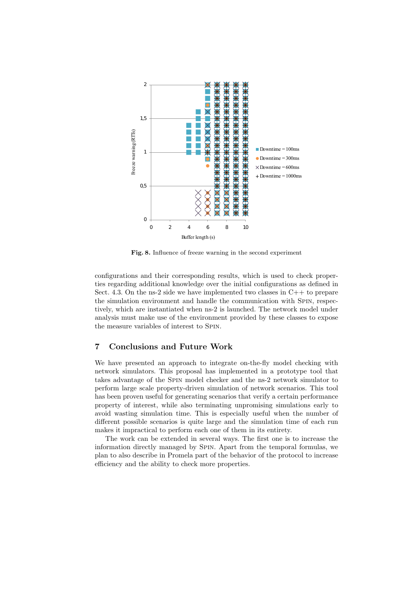

**Fig. 8.** Influence of freeze warning in the second experiment

configurations and their corresponding results, which is used to check properties regarding additional knowledge over the initial configurations as defined in Sect. 4.3. On the ns-2 side we have implemented two classes in  $C++$  to prepare the simulation environment and handle the communication with Spin, respectively, which are instantiated when ns-2 is launched. The network model under analysis must make use of the environment provided by these classes to expose the measure variables of interest to Spin.

# **7 Conclusions and Future Work**

We have presented an approach to integrate on-the-fly model checking with network simulators. This proposal has implemented in a prototype tool that takes advantage of the Spin model checker and the ns-2 network simulator to perform large scale property-driven simulation of network scenarios. This tool has been proven useful for generating scenarios that verify a certain performance property of interest, while also terminating unpromising simulations early to avoid wasting simulation time. This is especially useful when the number of different possible scenarios is quite large and the simulation time of each run makes it impractical to perform each one of them in its entirety.

The work can be extended in several ways. The first one is to increase the information directly managed by Spin. Apart from the temporal formulas, we plan to also describe in Promela part of the behavior of the protocol to increase efficiency and the ability to check more properties.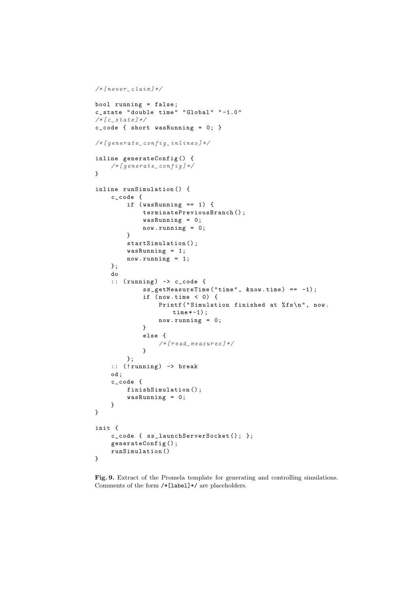```
/*[ never_claim ]*/
bool running = false ;
c_state " double time " " Global " " -1.0 "
/*[ c_state ]*/
c<sub>code</sub> { short wasRunning = 0; }
/*[ generate_config_inlines ]*/
inline generateConfig () {
    /*[ generate_config ]*/
}
inline runSimulation () {
    c_code {
        if (wasRunning == 1) {
             terminatePreviousBranch () ;
             wasRunning = 0;
             now . running = 0;
        }
        startSimulation () ;
        wasRunning = 1;now. running = 1;};
    do
    :: (running) \rightarrow c_code {
             ss\_getMeasureTime("time", % now.time) == -1);if (now.time < 0) {
                 Printf ("Simulation finished at %fs\n", now.
                     time *-1);
                 now. running = 0;}
             else {
                 /*[ read_measures ]*/
             }
        };
    :: (!running) -> break
    od ;
    c_code {
        finishSimulation();
        wasRunning = 0;
    }
}
init {
    c_code { ss_launchServerSocket () ; };
    generateConfig () ;
    runSimulation ()
}
```
**Fig. 9.** Extract of the Promela template for generating and controlling simulations. Comments of the form /\*[label]\*/ are placeholders.